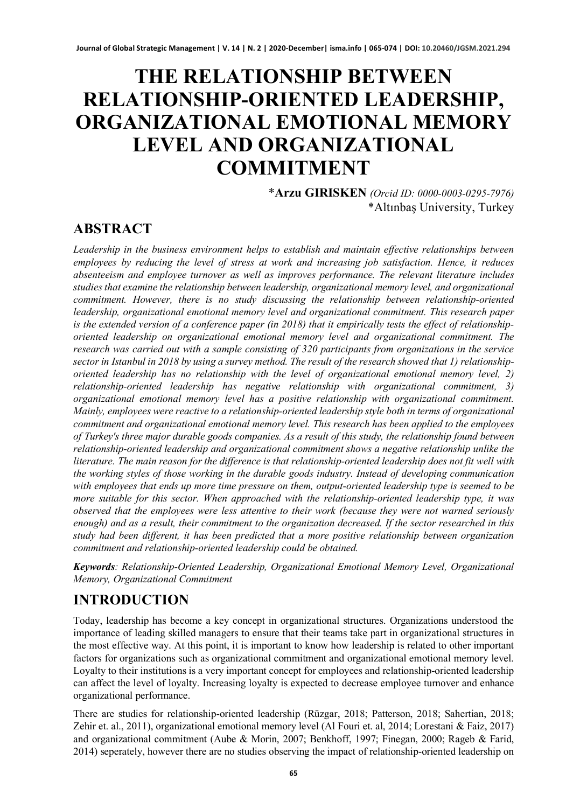# **THE RELATIONSHIP BETWEEN RELATIONSHIP-ORIENTED LEADERSHIP, ORGANIZATIONAL EMOTIONAL MEMORY LEVEL AND ORGANIZATIONAL COMMITMENT**

\***Arzu GIRISKEN** *(Orcid ID: 0000-0003-0295-7976)* \*Altınbaş University, Turkey

### **ABSTRACT**

*Leadership in the business environment helps to establish and maintain effective relationships between employees by reducing the level of stress at work and increasing job satisfaction. Hence, it reduces absenteeism and employee turnover as well as improves performance. The relevant literature includes studies that examine the relationship between leadership, organizational memory level, and organizational commitment. However, there is no study discussing the relationship between relationship-oriented leadership, organizational emotional memory level and organizational commitment. This research paper is the extended version of a conference paper (in 2018) that it empirically tests the effect of relationshiporiented leadership on organizational emotional memory level and organizational commitment. The research was carried out with a sample consisting of 320 participants from organizations in the service sector in Istanbul in 2018 by using a survey method. The result of the research showed that 1) relationshiporiented leadership has no relationship with the level of organizational emotional memory level, 2) relationship-oriented leadership has negative relationship with organizational commitment, 3) organizational emotional memory level has a positive relationship with organizational commitment. Mainly, employees were reactive to a relationship-oriented leadership style both in terms of organizational commitment and organizational emotional memory level. This research has been applied to the employees of Turkey's three major durable goods companies. As a result of this study, the relationship found between relationship-oriented leadership and organizational commitment shows a negative relationship unlike the literature. The main reason for the difference is that relationship-oriented leadership does not fit well with the working styles of those working in the durable goods industry. Instead of developing communication with employees that ends up more time pressure on them, output-oriented leadership type is seemed to be more suitable for this sector. When approached with the relationship-oriented leadership type, it was observed that the employees were less attentive to their work (because they were not warned seriously enough) and as a result, their commitment to the organization decreased. If the sector researched in this study had been different, it has been predicted that a more positive relationship between organization commitment and relationship-oriented leadership could be obtained.*

*Keywords: Relationship-Oriented Leadership, Organizational Emotional Memory Level, Organizational Memory, Organizational Commitment*

### **INTRODUCTION**

Today, leadership has become a key concept in organizational structures. Organizations understood the importance of leading skilled managers to ensure that their teams take part in organizational structures in the most effective way. At this point, it is important to know how leadership is related to other important factors for organizations such as organizational commitment and organizational emotional memory level. Loyalty to their institutions is a very important concept for employees and relationship-oriented leadership can affect the level of loyalty. Increasing loyalty is expected to decrease employee turnover and enhance organizational performance.

There are studies for relationship-oriented leadership (Rüzgar, 2018; Patterson, 2018; Sahertian, 2018; Zehir et. al., 2011), organizational emotional memory level (Al Fouri et. al, 2014; Lorestani & Faiz, 2017) and organizational commitment (Aube & Morin, 2007; Benkhoff, 1997; Finegan, 2000; Rageb & Farid, 2014) seperately, however there are no studies observing the impact of relationship-oriented leadership on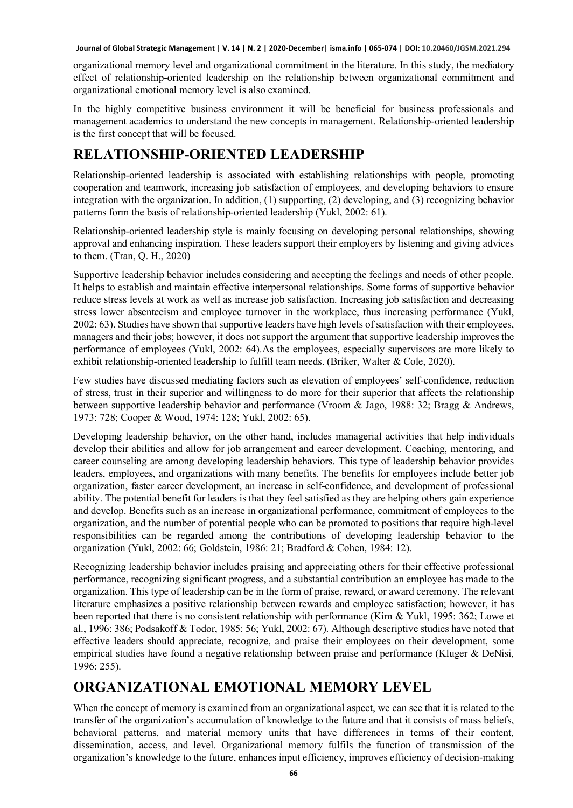organizational memory level and organizational commitment in the literature. In this study, the mediatory effect of relationship-oriented leadership on the relationship between organizational commitment and organizational emotional memory level is also examined.

In the highly competitive business environment it will be beneficial for business professionals and management academics to understand the new concepts in management. Relationship-oriented leadership is the first concept that will be focused.

## **RELATIONSHIP-ORIENTED LEADERSHIP**

Relationship-oriented leadership is associated with establishing relationships with people, promoting cooperation and teamwork, increasing job satisfaction of employees, and developing behaviors to ensure integration with the organization. In addition, (1) supporting, (2) developing, and (3) recognizing behavior patterns form the basis of relationship-oriented leadership (Yukl, 2002: 61).

Relationship-oriented leadership style is mainly focusing on developing personal relationships, showing approval and enhancing inspiration. These leaders support their employers by listening and giving advices to them. (Tran, Q. H., 2020)

Supportive leadership behavior includes considering and accepting the feelings and needs of other people. It helps to establish and maintain effective interpersonal relationships. Some forms of supportive behavior reduce stress levels at work as well as increase job satisfaction. Increasing job satisfaction and decreasing stress lower absenteeism and employee turnover in the workplace, thus increasing performance (Yukl, 2002: 63). Studies have shown that supportive leaders have high levels of satisfaction with their employees, managers and their jobs; however, it does not support the argument that supportive leadership improves the performance of employees (Yukl, 2002: 64).As the employees, especially supervisors are more likely to exhibit relationship-oriented leadership to fulfill team needs. (Briker, Walter & Cole, 2020).

Few studies have discussed mediating factors such as elevation of employees' self-confidence, reduction of stress, trust in their superior and willingness to do more for their superior that affects the relationship between supportive leadership behavior and performance (Vroom & Jago, 1988: 32; Bragg & Andrews, 1973: 728; Cooper & Wood, 1974: 128; Yukl, 2002: 65).

Developing leadership behavior, on the other hand, includes managerial activities that help individuals develop their abilities and allow for job arrangement and career development. Coaching, mentoring, and career counseling are among developing leadership behaviors. This type of leadership behavior provides leaders, employees, and organizations with many benefits. The benefits for employees include better job organization, faster career development, an increase in self-confidence, and development of professional ability. The potential benefit for leaders is that they feel satisfied as they are helping others gain experience and develop. Benefits such as an increase in organizational performance, commitment of employees to the organization, and the number of potential people who can be promoted to positions that require high-level responsibilities can be regarded among the contributions of developing leadership behavior to the organization (Yukl, 2002: 66; Goldstein, 1986: 21; Bradford & Cohen, 1984: 12).

Recognizing leadership behavior includes praising and appreciating others for their effective professional performance, recognizing significant progress, and a substantial contribution an employee has made to the organization. This type of leadership can be in the form of praise, reward, or award ceremony. The relevant literature emphasizes a positive relationship between rewards and employee satisfaction; however, it has been reported that there is no consistent relationship with performance (Kim & Yukl, 1995: 362; Lowe et al., 1996: 386; Podsakoff & Todor, 1985: 56; Yukl, 2002: 67). Although descriptive studies have noted that effective leaders should appreciate, recognize, and praise their employees on their development, some empirical studies have found a negative relationship between praise and performance (Kluger & DeNisi, 1996: 255).

# **ORGANIZATIONAL EMOTIONAL MEMORY LEVEL**

When the concept of memory is examined from an organizational aspect, we can see that it is related to the transfer of the organization's accumulation of knowledge to the future and that it consists of mass beliefs, behavioral patterns, and material memory units that have differences in terms of their content, dissemination, access, and level. Organizational memory fulfils the function of transmission of the organization's knowledge to the future, enhances input efficiency, improves efficiency of decision-making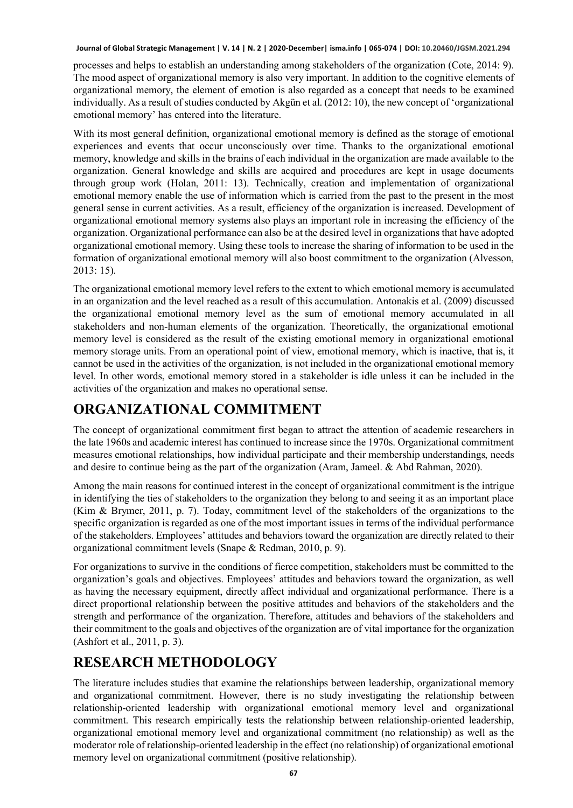processes and helps to establish an understanding among stakeholders of the organization (Cote, 2014: 9). The mood aspect of organizational memory is also very important. In addition to the cognitive elements of organizational memory, the element of emotion is also regarded as a concept that needs to be examined individually. As a result of studies conducted by Akgün et al. (2012: 10), the new concept of 'organizational emotional memory' has entered into the literature.

With its most general definition, organizational emotional memory is defined as the storage of emotional experiences and events that occur unconsciously over time. Thanks to the organizational emotional memory, knowledge and skills in the brains of each individual in the organization are made available to the organization. General knowledge and skills are acquired and procedures are kept in usage documents through group work (Holan, 2011: 13). Technically, creation and implementation of organizational emotional memory enable the use of information which is carried from the past to the present in the most general sense in current activities. As a result, efficiency of the organization is increased. Development of organizational emotional memory systems also plays an important role in increasing the efficiency of the organization. Organizational performance can also be at the desired level in organizations that have adopted organizational emotional memory. Using these tools to increase the sharing of information to be used in the formation of organizational emotional memory will also boost commitment to the organization (Alvesson, 2013: 15).

The organizational emotional memory level refers to the extent to which emotional memory is accumulated in an organization and the level reached as a result of this accumulation. Antonakis et al. (2009) discussed the organizational emotional memory level as the sum of emotional memory accumulated in all stakeholders and non-human elements of the organization. Theoretically, the organizational emotional memory level is considered as the result of the existing emotional memory in organizational emotional memory storage units. From an operational point of view, emotional memory, which is inactive, that is, it cannot be used in the activities of the organization, is not included in the organizational emotional memory level. In other words, emotional memory stored in a stakeholder is idle unless it can be included in the activities of the organization and makes no operational sense.

# **ORGANIZATIONAL COMMITMENT**

The concept of organizational commitment first began to attract the attention of academic researchers in the late 1960s and academic interest has continued to increase since the 1970s. Organizational commitment measures emotional relationships, how individual participate and their membership understandings, needs and desire to continue being as the part of the organization (Aram, Jameel. & Abd Rahman, 2020).

Among the main reasons for continued interest in the concept of organizational commitment is the intrigue in identifying the ties of stakeholders to the organization they belong to and seeing it as an important place (Kim & Brymer, 2011, p. 7). Today, commitment level of the stakeholders of the organizations to the specific organization is regarded as one of the most important issues in terms of the individual performance of the stakeholders. Employees' attitudes and behaviors toward the organization are directly related to their organizational commitment levels (Snape & Redman, 2010, p. 9).

For organizations to survive in the conditions of fierce competition, stakeholders must be committed to the organization's goals and objectives. Employees' attitudes and behaviors toward the organization, as well as having the necessary equipment, directly affect individual and organizational performance. There is a direct proportional relationship between the positive attitudes and behaviors of the stakeholders and the strength and performance of the organization. Therefore, attitudes and behaviors of the stakeholders and their commitment to the goals and objectives of the organization are of vital importance for the organization (Ashfort et al., 2011, p. 3).

# **RESEARCH METHODOLOGY**

The literature includes studies that examine the relationships between leadership, organizational memory and organizational commitment. However, there is no study investigating the relationship between relationship-oriented leadership with organizational emotional memory level and organizational commitment. This research empirically tests the relationship between relationship-oriented leadership, organizational emotional memory level and organizational commitment (no relationship) as well as the moderator role of relationship-oriented leadership in the effect (no relationship) of organizational emotional memory level on organizational commitment (positive relationship).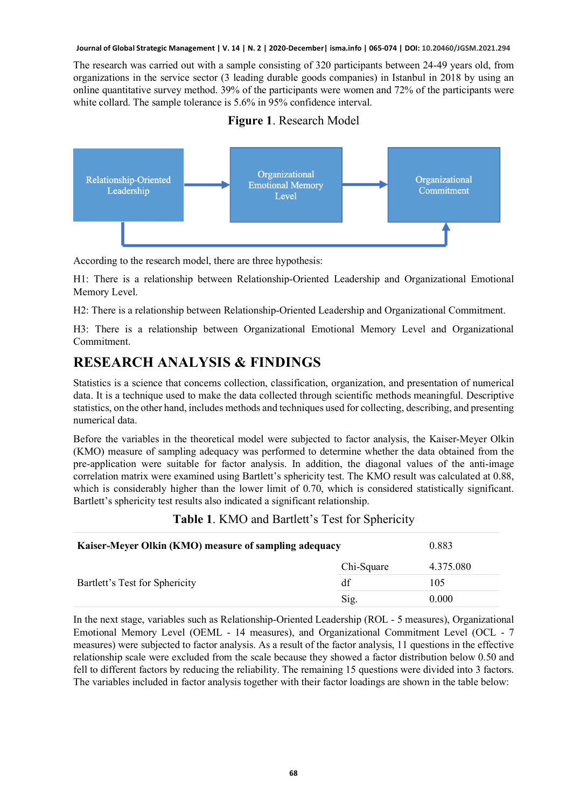The research was carried out with a sample consisting of 320 participants between 24-49 years old, from organizations in the service sector (3 leading durable goods companies) in Istanbul in 2018 by using an online quantitative survey method. 39% of the participants were women and 72% of the participants were white collard. The sample tolerance is 5.6% in 95% confidence interval.

#### **Figure 1**. Research Model



According to the research model, there are three hypothesis:

H1: There is a relationship between Relationship-Oriented Leadership and Organizational Emotional Memory Level.

H2: There is a relationship between Relationship-Oriented Leadership and Organizational Commitment.

H3: There is a relationship between Organizational Emotional Memory Level and Organizational Commitment.

### **RESEARCH ANALYSIS & FINDINGS**

Statistics is a science that concerns collection, classification, organization, and presentation of numerical data. It is a technique used to make the data collected through scientific methods meaningful. Descriptive statistics, on the other hand, includes methods and techniques used for collecting, describing, and presenting numerical data.

Before the variables in the theoretical model were subjected to factor analysis, the Kaiser-Meyer Olkin (KMO) measure of sampling adequacy was performed to determine whether the data obtained from the pre-application were suitable for factor analysis. In addition, the diagonal values of the anti-image correlation matrix were examined using Bartlett's sphericity test. The KMO result was calculated at 0.88, which is considerably higher than the lower limit of 0.70, which is considered statistically significant. Bartlett's sphericity test results also indicated a significant relationship.

#### **Table 1**. KMO and Bartlett's Test for Sphericity

| Kaiser-Meyer Olkin (KMO) measure of sampling adequacy | 0.883      |           |
|-------------------------------------------------------|------------|-----------|
|                                                       | Chi-Square | 4.375.080 |
| Bartlett's Test for Sphericity                        | df         | 105       |
|                                                       | Sig.       | 0.000     |

In the next stage, variables such as Relationship-Oriented Leadership (ROL - 5 measures), Organizational Emotional Memory Level (OEML - 14 measures), and Organizational Commitment Level (OCL - 7 measures) were subjected to factor analysis. As a result of the factor analysis, 11 questions in the effective relationship scale were excluded from the scale because they showed a factor distribution below 0.50 and fell to different factors by reducing the reliability. The remaining 15 questions were divided into 3 factors. The variables included in factor analysis together with their factor loadings are shown in the table below: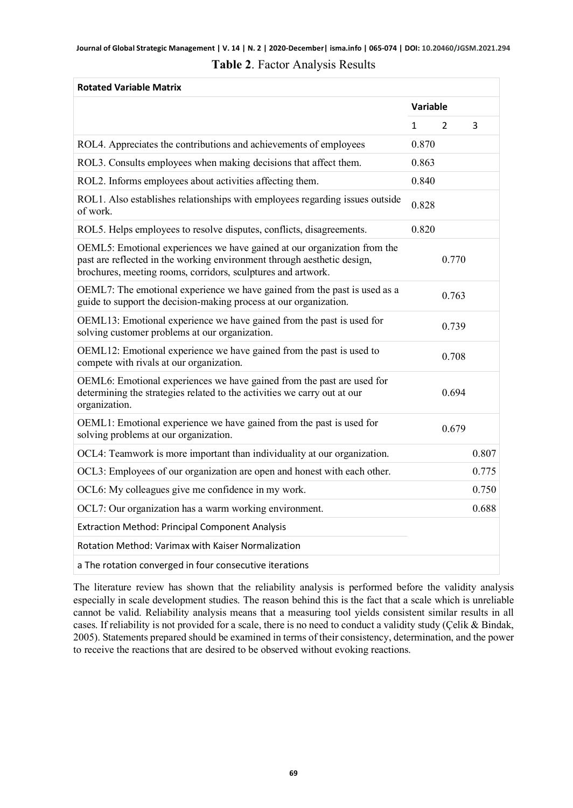| <b>Rotated Variable Matrix</b>                                                                                                                                                                                      |          |               |       |
|---------------------------------------------------------------------------------------------------------------------------------------------------------------------------------------------------------------------|----------|---------------|-------|
|                                                                                                                                                                                                                     | Variable |               |       |
|                                                                                                                                                                                                                     | 1        | $\mathcal{P}$ | 3     |
| ROL4. Appreciates the contributions and achievements of employees                                                                                                                                                   | 0.870    |               |       |
| ROL3. Consults employees when making decisions that affect them.                                                                                                                                                    | 0.863    |               |       |
| ROL2. Informs employees about activities affecting them.                                                                                                                                                            | 0.840    |               |       |
| ROL1. Also establishes relationships with employees regarding issues outside<br>of work.                                                                                                                            | 0.828    |               |       |
| ROL5. Helps employees to resolve disputes, conflicts, disagreements.                                                                                                                                                | 0.820    |               |       |
| OEML5: Emotional experiences we have gained at our organization from the<br>past are reflected in the working environment through aesthetic design,<br>brochures, meeting rooms, corridors, sculptures and artwork. |          | 0.770         |       |
| OEML7: The emotional experience we have gained from the past is used as a<br>guide to support the decision-making process at our organization.                                                                      |          | 0.763         |       |
| OEML13: Emotional experience we have gained from the past is used for<br>solving customer problems at our organization.                                                                                             |          | 0.739         |       |
| OEML12: Emotional experience we have gained from the past is used to<br>compete with rivals at our organization.                                                                                                    |          | 0.708         |       |
| OEML6: Emotional experiences we have gained from the past are used for<br>determining the strategies related to the activities we carry out at our<br>organization.                                                 |          | 0.694         |       |
| OEML1: Emotional experience we have gained from the past is used for<br>solving problems at our organization.                                                                                                       |          | 0.679         |       |
| OCL4: Teamwork is more important than individuality at our organization.                                                                                                                                            |          |               | 0.807 |
| OCL3: Employees of our organization are open and honest with each other.                                                                                                                                            |          |               | 0.775 |
| OCL6: My colleagues give me confidence in my work.                                                                                                                                                                  |          |               | 0.750 |
| OCL7: Our organization has a warm working environment.                                                                                                                                                              |          |               | 0.688 |
| <b>Extraction Method: Principal Component Analysis</b>                                                                                                                                                              |          |               |       |
| Rotation Method: Varimax with Kaiser Normalization                                                                                                                                                                  |          |               |       |
| a The rotation converged in four consecutive iterations                                                                                                                                                             |          |               |       |

#### **Table 2**. Factor Analysis Results

The literature review has shown that the reliability analysis is performed before the validity analysis especially in scale development studies. The reason behind this is the fact that a scale which is unreliable cannot be valid. Reliability analysis means that a measuring tool yields consistent similar results in all cases. If reliability is not provided for a scale, there is no need to conduct a validity study (Çelik & Bindak, 2005). Statements prepared should be examined in terms of their consistency, determination, and the power to receive the reactions that are desired to be observed without evoking reactions.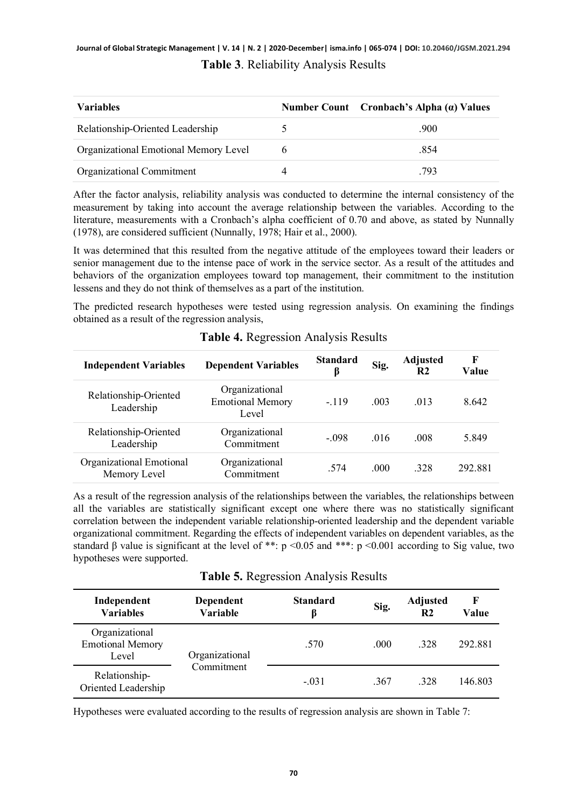### **Journal of Global Strategic Management | V. 14 | N. 2 | 2020-December| isma.info | 065-074 | DOI: 10.20460/JGSM.2021.294 Table 3**. Reliability Analysis Results

| <b>Variables</b>                      | Number Count Cronbach's Alpha $(a)$ Values |
|---------------------------------------|--------------------------------------------|
| Relationship-Oriented Leadership      | .900                                       |
| Organizational Emotional Memory Level | .854                                       |
| Organizational Commitment             | .793                                       |

After the factor analysis, reliability analysis was conducted to determine the internal consistency of the measurement by taking into account the average relationship between the variables. According to the literature, measurements with a Cronbach's alpha coefficient of 0.70 and above, as stated by Nunnally (1978), are considered sufficient (Nunnally, 1978; Hair et al., 2000).

It was determined that this resulted from the negative attitude of the employees toward their leaders or senior management due to the intense pace of work in the service sector. As a result of the attitudes and behaviors of the organization employees toward top management, their commitment to the institution lessens and they do not think of themselves as a part of the institution.

The predicted research hypotheses were tested using regression analysis. On examining the findings obtained as a result of the regression analysis,

| <b>Independent Variables</b>             | <b>Dependent Variables</b>                         | <b>Standard</b><br>ß | Sig. | <b>Adjusted</b><br>R2 | F<br>Value |
|------------------------------------------|----------------------------------------------------|----------------------|------|-----------------------|------------|
| Relationship-Oriented<br>Leadership      | Organizational<br><b>Emotional Memory</b><br>Level | $-.119$              | .003 | .013                  | 8.642      |
| Relationship-Oriented<br>Leadership      | Organizational<br>Commitment                       | $-.098$              | .016 | .008                  | 5.849      |
| Organizational Emotional<br>Memory Level | Organizational<br>Commitment                       | .574                 | .000 | .328                  | 292.881    |

#### **Table 4.** Regression Analysis Results

As a result of the regression analysis of the relationships between the variables, the relationships between all the variables are statistically significant except one where there was no statistically significant correlation between the independent variable relationship-oriented leadership and the dependent variable organizational commitment. Regarding the effects of independent variables on dependent variables, as the standard  $\beta$  value is significant at the level of \*\*: p <0.05 and \*\*\*: p <0.001 according to Sig value, two hypotheses were supported.

**Table 5.** Regression Analysis Results

| Independent<br><b>Variables</b>                    | Dependent<br>Variable        | <b>Standard</b><br>B | Sig. | <b>Adjusted</b><br>R <sub>2</sub> | F<br>Value |
|----------------------------------------------------|------------------------------|----------------------|------|-----------------------------------|------------|
| Organizational<br><b>Emotional Memory</b><br>Level | Organizational<br>Commitment | .570                 | .000 | .328                              | 292.881    |
| Relationship-<br>Oriented Leadership               |                              | $-.031$              | .367 | .328                              | 146.803    |

Hypotheses were evaluated according to the results of regression analysis are shown in Table 7: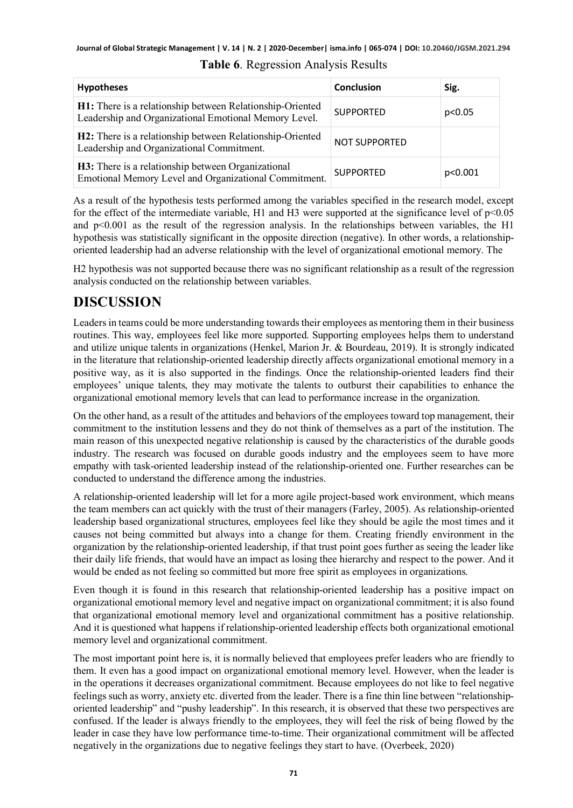| <b>Hypotheses</b>                                                                                                  | <b>Conclusion</b>    | Sig.    |
|--------------------------------------------------------------------------------------------------------------------|----------------------|---------|
| H1: There is a relationship between Relationship-Oriented<br>Leadership and Organizational Emotional Memory Level. | <b>SUPPORTED</b>     | p<0.05  |
| H2: There is a relationship between Relationship-Oriented<br>Leadership and Organizational Commitment.             | <b>NOT SUPPORTED</b> |         |
| H3: There is a relationship between Organizational<br>Emotional Memory Level and Organizational Commitment.        | <b>SUPPORTED</b>     | p<0.001 |

### **Table 6**. Regression Analysis Results

As a result of the hypothesis tests performed among the variables specified in the research model, except for the effect of the intermediate variable, H1 and H3 were supported at the significance level of  $p<0.05$ and  $p<0.001$  as the result of the regression analysis. In the relationships between variables, the H1 hypothesis was statistically significant in the opposite direction (negative). In other words, a relationshiporiented leadership had an adverse relationship with the level of organizational emotional memory. The

H2 hypothesis was not supported because there was no significant relationship as a result of the regression analysis conducted on the relationship between variables.

### **DISCUSSION**

Leaders in teams could be more understanding towards their employees as mentoring them in their business routines. This way, employees feel like more supported. Supporting employees helps them to understand and utilize unique talents in organizations (Henkel, Marion Jr. & Bourdeau, 2019). It is strongly indicated in the literature that relationship-oriented leadership directly affects organizational emotional memory in a positive way, as it is also supported in the findings. Once the relationship-oriented leaders find their employees' unique talents, they may motivate the talents to outburst their capabilities to enhance the organizational emotional memory levels that can lead to performance increase in the organization.

On the other hand, as a result of the attitudes and behaviors of the employees toward top management, their commitment to the institution lessens and they do not think of themselves as a part of the institution. The main reason of this unexpected negative relationship is caused by the characteristics of the durable goods industry. The research was focused on durable goods industry and the employees seem to have more empathy with task-oriented leadership instead of the relationship-oriented one. Further researches can be conducted to understand the difference among the industries.

A relationship-oriented leadership will let for a more agile project-based work environment, which means the team members can act quickly with the trust of their managers (Farley, 2005). As relationship-oriented leadership based organizational structures, employees feel like they should be agile the most times and it causes not being committed but always into a change for them. Creating friendly environment in the organization by the relationship-oriented leadership, if that trust point goes further as seeing the leader like their daily life friends, that would have an impact as losing thee hierarchy and respect to the power. And it would be ended as not feeling so committed but more free spirit as employees in organizations.

Even though it is found in this research that relationship-oriented leadership has a positive impact on organizational emotional memory level and negative impact on organizational commitment; it is also found that organizational emotional memory level and organizational commitment has a positive relationship. And it is questioned what happens if relationship-oriented leadership effects both organizational emotional memory level and organizational commitment.

The most important point here is, it is normally believed that employees prefer leaders who are friendly to them. It even has a good impact on organizational emotional memory level. However, when the leader is in the operations it decreases organizational commitment. Because employees do not like to feel negative feelings such as worry, anxiety etc. diverted from the leader. There is a fine thin line between "relationshiporiented leadership" and "pushy leadership". In this research, it is observed that these two perspectives are confused. If the leader is always friendly to the employees, they will feel the risk of being flowed by the leader in case they have low performance time-to-time. Their organizational commitment will be affected negatively in the organizations due to negative feelings they start to have. (Overbeek, 2020)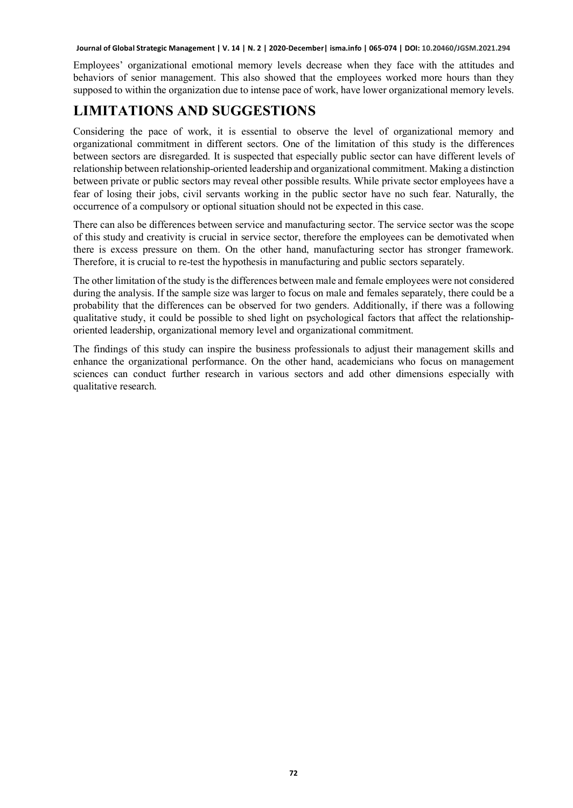Employees' organizational emotional memory levels decrease when they face with the attitudes and behaviors of senior management. This also showed that the employees worked more hours than they supposed to within the organization due to intense pace of work, have lower organizational memory levels.

### **LIMITATIONS AND SUGGESTIONS**

Considering the pace of work, it is essential to observe the level of organizational memory and organizational commitment in different sectors. One of the limitation of this study is the differences between sectors are disregarded. It is suspected that especially public sector can have different levels of relationship between relationship-oriented leadership and organizational commitment. Making a distinction between private or public sectors may reveal other possible results. While private sector employees have a fear of losing their jobs, civil servants working in the public sector have no such fear. Naturally, the occurrence of a compulsory or optional situation should not be expected in this case.

There can also be differences between service and manufacturing sector. The service sector was the scope of this study and creativity is crucial in service sector, therefore the employees can be demotivated when there is excess pressure on them. On the other hand, manufacturing sector has stronger framework. Therefore, it is crucial to re-test the hypothesis in manufacturing and public sectors separately.

The other limitation of the study is the differences between male and female employees were not considered during the analysis. If the sample size was larger to focus on male and females separately, there could be a probability that the differences can be observed for two genders. Additionally, if there was a following qualitative study, it could be possible to shed light on psychological factors that affect the relationshiporiented leadership, organizational memory level and organizational commitment.

The findings of this study can inspire the business professionals to adjust their management skills and enhance the organizational performance. On the other hand, academicians who focus on management sciences can conduct further research in various sectors and add other dimensions especially with qualitative research.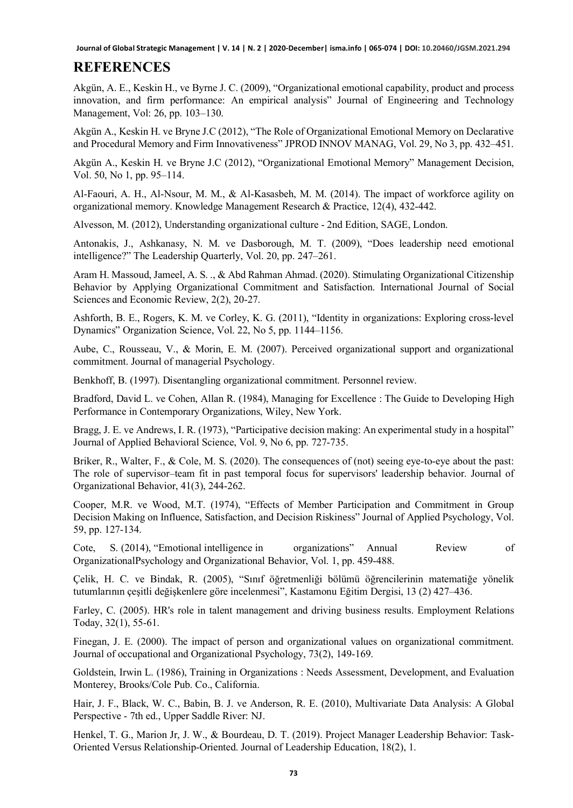### **REFERENCES**

Akgün, A. E., Keskin H., ve Byrne J. C. (2009), "Organizational emotional capability, product and process innovation, and firm performance: An empirical analysis" Journal of Engineering and Technology Management, Vol: 26, pp. 103–130.

Akgün A., Keskin H. ve Bryne J.C (2012), "The Role of Organizational Emotional Memory on Declarative and Procedural Memory and Firm Innovativeness" JPROD INNOV MANAG, Vol. 29, No 3, pp. 432–451.

Akgün A., Keskin H. ve Bryne J.C (2012), "Organizational Emotional Memory" Management Decision, Vol. 50, No 1, pp. 95–114.

Al-Faouri, A. H., Al-Nsour, M. M., & Al-Kasasbeh, M. M. (2014). The impact of workforce agility on organizational memory. Knowledge Management Research & Practice, 12(4), 432-442.

Alvesson, M. (2012), Understanding organizational culture - 2nd Edition, SAGE, London.

Antonakis, J., Ashkanasy, N. M. ve Dasborough, M. T. (2009), "Does leadership need emotional intelligence?" The Leadership Quarterly, Vol. 20, pp. 247–261.

Aram H. Massoud, Jameel, A. S. ., & Abd Rahman Ahmad. (2020). Stimulating Organizational Citizenship Behavior by Applying Organizational Commitment and Satisfaction. International Journal of Social Sciences and Economic Review, 2(2), 20-27.

Ashforth, B. E., Rogers, K. M. ve Corley, K. G. (2011), "Identity in organizations: Exploring cross-level Dynamics" Organization Science, Vol. 22, No 5, pp. 1144–1156.

Aube, C., Rousseau, V., & Morin, E. M. (2007). Perceived organizational support and organizational commitment. Journal of managerial Psychology.

Benkhoff, B. (1997). Disentangling organizational commitment. Personnel review.

Bradford, David L. ve Cohen, Allan R. (1984), Managing for Excellence : The Guide to Developing High Performance in Contemporary Organizations, Wiley, New York.

Bragg, J. E. ve Andrews, I. R. (1973), "Participative decision making: An experimental study in a hospital" Journal of Applied Behavioral Science, Vol. 9, No 6, pp. 727-735.

Briker, R., Walter, F., & Cole, M. S. (2020). The consequences of (not) seeing eye-to-eye about the past: The role of supervisor–team fit in past temporal focus for supervisors' leadership behavior. Journal of Organizational Behavior, 41(3), 244-262.

Cooper, M.R. ve Wood, M.T. (1974), "Effects of Member Participation and Commitment in Group Decision Making on Influence, Satisfaction, and Decision Riskiness" Journal of Applied Psychology, Vol. 59, pp. 127-134.

Cote, S. (2014), "Emotional intelligence in organizations" Annual Review of OrganizationalPsychology and Organizational Behavior, Vol. 1, pp. 459-488.

Çelik, H. C. ve Bindak, R. (2005), "Sınıf öğretmenliği bölümü öğrencilerinin matematiğe yönelik tutumlarının çeşitli değişkenlere göre incelenmesi", Kastamonu Eğitim Dergisi, 13 (2) 427–436.

Farley, C. (2005). HR's role in talent management and driving business results. Employment Relations Today, 32(1), 55-61.

Finegan, J. E. (2000). The impact of person and organizational values on organizational commitment. Journal of occupational and Organizational Psychology, 73(2), 149-169.

Goldstein, Irwin L. (1986), Training in Organizations : Needs Assessment, Development, and Evaluation Monterey, Brooks/Cole Pub. Co., California.

Hair, J. F., Black, W. C., Babin, B. J. ve Anderson, R. E. (2010), Multivariate Data Analysis: A Global Perspective - 7th ed., Upper Saddle River: NJ.

Henkel, T. G., Marion Jr, J. W., & Bourdeau, D. T. (2019). Project Manager Leadership Behavior: Task-Oriented Versus Relationship-Oriented. Journal of Leadership Education, 18(2), 1.